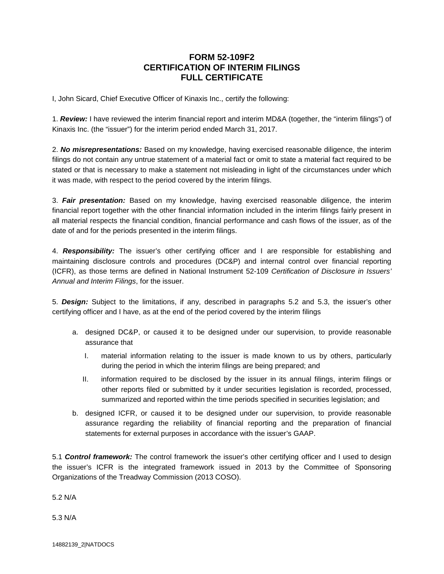## **FORM 52-109F2 CERTIFICATION OF INTERIM FILINGS FULL CERTIFICATE**

I, John Sicard, Chief Executive Officer of Kinaxis Inc., certify the following:

1. *Review:* I have reviewed the interim financial report and interim MD&A (together, the "interim filings") of Kinaxis Inc. (the "issuer") for the interim period ended March 31, 2017.

2. *No misrepresentations:* Based on my knowledge, having exercised reasonable diligence, the interim filings do not contain any untrue statement of a material fact or omit to state a material fact required to be stated or that is necessary to make a statement not misleading in light of the circumstances under which it was made, with respect to the period covered by the interim filings.

3. *Fair presentation:* Based on my knowledge, having exercised reasonable diligence, the interim financial report together with the other financial information included in the interim filings fairly present in all material respects the financial condition, financial performance and cash flows of the issuer, as of the date of and for the periods presented in the interim filings.

4. *Responsibility:* The issuer's other certifying officer and I are responsible for establishing and maintaining disclosure controls and procedures (DC&P) and internal control over financial reporting (ICFR), as those terms are defined in National Instrument 52-109 *Certification of Disclosure in Issuers' Annual and Interim Filings*, for the issuer.

5. *Design:* Subject to the limitations, if any, described in paragraphs 5.2 and 5.3, the issuer's other certifying officer and I have, as at the end of the period covered by the interim filings

- a. designed DC&P, or caused it to be designed under our supervision, to provide reasonable assurance that
	- I. material information relating to the issuer is made known to us by others, particularly during the period in which the interim filings are being prepared; and
	- II. information required to be disclosed by the issuer in its annual filings, interim filings or other reports filed or submitted by it under securities legislation is recorded, processed, summarized and reported within the time periods specified in securities legislation; and
- b. designed ICFR, or caused it to be designed under our supervision, to provide reasonable assurance regarding the reliability of financial reporting and the preparation of financial statements for external purposes in accordance with the issuer's GAAP.

5.1 *Control framework:* The control framework the issuer's other certifying officer and I used to design the issuer's ICFR is the integrated framework issued in 2013 by the Committee of Sponsoring Organizations of the Treadway Commission (2013 COSO).

5.2 N/A

5.3 N/A